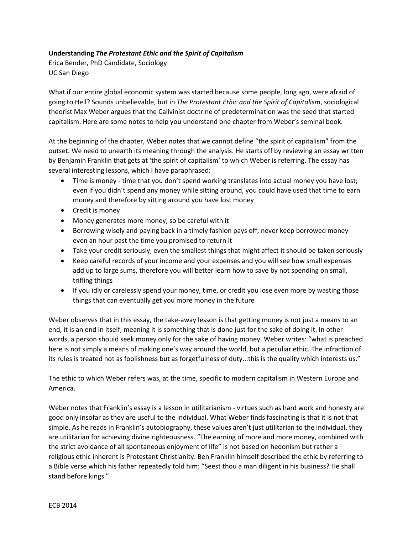## **Understanding** *The Protestant Ethic and the Spirit of Capitalism*

Erica Bender, PhD Candidate, Sociology UC San Diego

What if our entire global economic system was started because some people, long ago, were afraid of going to Hell? Sounds unbelievable, but in *The Protestant Ethic and the Spirit of Capitalism*, sociological theorist Max Weber argues that the Calivinist doctrine of predetermination was the seed that started capitalism. Here are some notes to help you understand one chapter from Weber's seminal book.

At the beginning of the chapter, Weber notes that we cannot define "the spirit of capitalism" from the outset. We need to unearth its meaning through the analysis. He starts off by reviewing an essay written by Benjamin Franklin that gets at 'the spirit of capitalism' to which Weber is referring. The essay has several interesting lessons, which I have paraphrased:

- Time is money time that you don't spend working translates into actual money you have lost; even if you didn't spend any money while sitting around, you could have used that time to earn money and therefore by sitting around you have lost money
- Credit is money
- Money generates more money, so be careful with it
- Borrowing wisely and paying back in a timely fashion pays off; never keep borrowed money even an hour past the time you promised to return it
- Take your credit seriously, even the smallest things that might affect it should be taken seriously
- Keep careful records of your income and your expenses and you will see how small expenses add up to large sums, therefore you will better learn how to save by not spending on small, trifling things
- If you idly or carelessly spend your money, time, or credit you lose even more by wasting those things that can eventually get you more money in the future

Weber observes that in this essay, the take-away lesson is that getting money is not just a means to an end, it is an end in itself, meaning it is something that is done just for the sake of doing it. In other words, a person should seek money only for the sake of having money. Weber writes: "what is preached here is not simply a means of making one's way around the world, but a peculiar ethic. The infraction of its rules is treated not as foolishness but as forgetfulness of duty...this is the quality which interests us."

The ethic to which Weber refers was, at the time, specific to modern capitalism in Western Europe and America.

Weber notes that Franklin's essay is a lesson in utilitarianism - virtues such as hard work and honesty are good only insofar as they are useful to the individual. What Weber finds fascinating is that it is not that simple. As he reads in Franklin's autobiography, these values aren't just utilitarian to the individual, they are utilitarian for achieving divine righteousness. "The earning of more and more money, combined with the strict avoidance of all spontaneous enjoyment of life" is not based on hedonism but rather a religious ethic inherent is Protestant Christianity. Ben Franklin himself described the ethic by referring to a Bible verse which his father repeatedly told him: "Seest thou a man diligent in his business? He shall stand before kings."